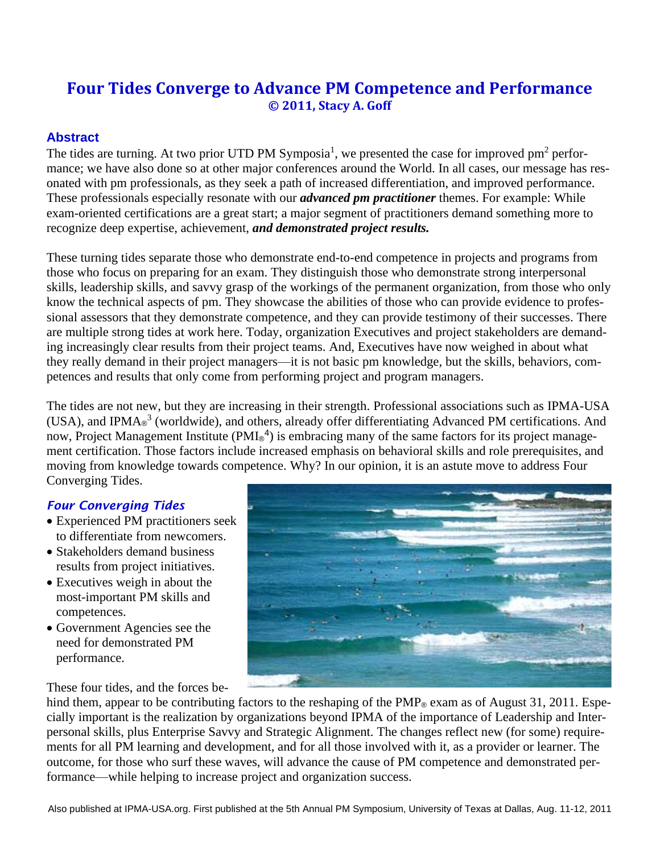# **Four Tides Converge to Advance PM Competence and Performance © 2011, Stacy A. Goff**

# **Abstract**

The tides are turning. At two prior UTD PM Symposia<sup>1</sup>, we presented the case for improved pm<sup>2</sup> performance; we have also done so at other major conferences around the World. In all cases, our message has resonated with pm professionals, as they seek a path of increased differentiation, and improved performance. These professionals especially resonate with our *advanced pm practitioner* themes. For example: While exam-oriented certifications are a great start; a major segment of practitioners demand something more to recognize deep expertise, achievement, *and demonstrated project results.*

These turning tides separate those who demonstrate end-to-end competence in projects and programs from those who focus on preparing for an exam. They distinguish those who demonstrate strong interpersonal skills, leadership skills, and savvy grasp of the workings of the permanent organization, from those who only know the technical aspects of pm. They showcase the abilities of those who can provide evidence to professional assessors that they demonstrate competence, and they can provide testimony of their successes. There are multiple strong tides at work here. Today, organization Executives and project stakeholders are demanding increasingly clear results from their project teams. And, Executives have now weighed in about what they really demand in their project managers—it is not basic pm knowledge, but the skills, behaviors, competences and results that only come from performing project and program managers.

The tides are not new, but they are increasing in their strength. Professional associations such as IPMA-USA (USA), and IPMA<sup>®</sup> (worldwide), and others, already offer differentiating Advanced PM certifications. And now, Project Management Institute (PMI®<sup>4</sup>) is embracing many of the same factors for its project management certification. Those factors include increased emphasis on behavioral skills and role prerequisites, and moving from knowledge towards competence. Why? In our opinion, it is an astute move to address Four Converging Tides.

# *Four Converging Tides*

- Experienced PM practitioners seek to differentiate from newcomers.
- Stakeholders demand business results from project initiatives.
- Executives weigh in about the most-important PM skills and competences.
- Government Agencies see the need for demonstrated PM performance.

These four tides, and the forces be-



hind them, appear to be contributing factors to the reshaping of the  $PMP<sub>®</sub>$  exam as of August 31, 2011. Especially important is the realization by organizations beyond IPMA of the importance of Leadership and Interpersonal skills, plus Enterprise Savvy and Strategic Alignment. The changes reflect new (for some) requirements for all PM learning and development, and for all those involved with it, as a provider or learner. The outcome, for those who surf these waves, will advance the cause of PM competence and demonstrated performance—while helping to increase project and organization success.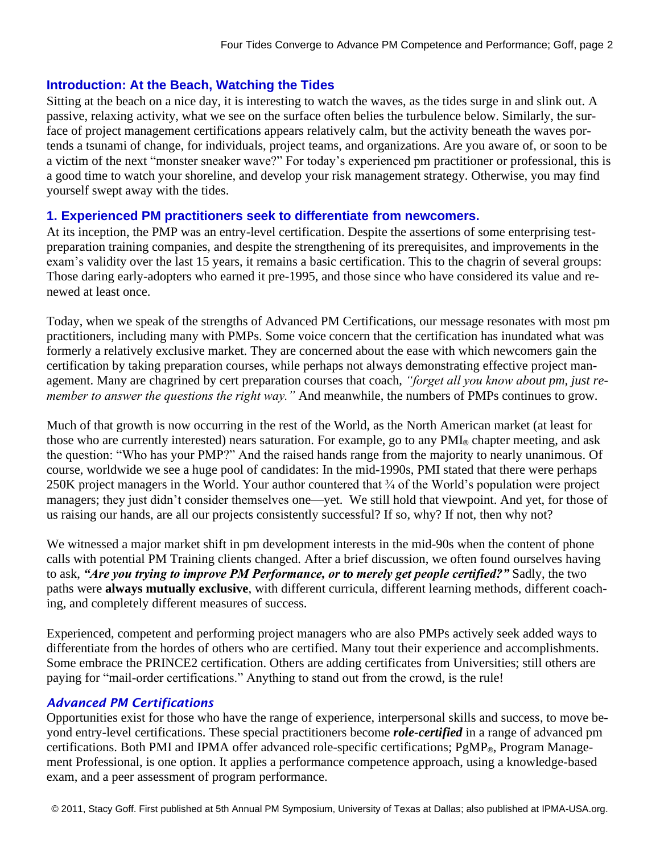## **Introduction: At the Beach, Watching the Tides**

Sitting at the beach on a nice day, it is interesting to watch the waves, as the tides surge in and slink out. A passive, relaxing activity, what we see on the surface often belies the turbulence below. Similarly, the surface of project management certifications appears relatively calm, but the activity beneath the waves portends a tsunami of change, for individuals, project teams, and organizations. Are you aware of, or soon to be a victim of the next "monster sneaker wave?" For today's experienced pm practitioner or professional, this is a good time to watch your shoreline, and develop your risk management strategy. Otherwise, you may find yourself swept away with the tides.

# **1. Experienced PM practitioners seek to differentiate from newcomers.**

At its inception, the PMP was an entry-level certification. Despite the assertions of some enterprising testpreparation training companies, and despite the strengthening of its prerequisites, and improvements in the exam's validity over the last 15 years, it remains a basic certification. This to the chagrin of several groups: Those daring early-adopters who earned it pre-1995, and those since who have considered its value and renewed at least once.

Today, when we speak of the strengths of Advanced PM Certifications, our message resonates with most pm practitioners, including many with PMPs. Some voice concern that the certification has inundated what was formerly a relatively exclusive market. They are concerned about the ease with which newcomers gain the certification by taking preparation courses, while perhaps not always demonstrating effective project management. Many are chagrined by cert preparation courses that coach, *"forget all you know about pm, just remember to answer the questions the right way."* And meanwhile, the numbers of PMPs continues to grow.

Much of that growth is now occurring in the rest of the World, as the North American market (at least for those who are currently interested) nears saturation. For example, go to any PMI<sub>®</sub> chapter meeting, and ask the question: "Who has your PMP?" And the raised hands range from the majority to nearly unanimous. Of course, worldwide we see a huge pool of candidates: In the mid-1990s, PMI stated that there were perhaps 250K project managers in the World. Your author countered that ¾ of the World's population were project managers; they just didn't consider themselves one—yet. We still hold that viewpoint. And yet, for those of us raising our hands, are all our projects consistently successful? If so, why? If not, then why not?

We witnessed a major market shift in pm development interests in the mid-90s when the content of phone calls with potential PM Training clients changed. After a brief discussion, we often found ourselves having to ask, *"Are you trying to improve PM Performance, or to merely get people certified?"* Sadly, the two paths were **always mutually exclusive**, with different curricula, different learning methods, different coaching, and completely different measures of success.

Experienced, competent and performing project managers who are also PMPs actively seek added ways to differentiate from the hordes of others who are certified. Many tout their experience and accomplishments. Some embrace the PRINCE2 certification. Others are adding certificates from Universities; still others are paying for "mail-order certifications." Anything to stand out from the crowd, is the rule!

#### *Advanced PM Certifications*

Opportunities exist for those who have the range of experience, interpersonal skills and success, to move beyond entry-level certifications. These special practitioners become *role-certified* in a range of advanced pm certifications. Both PMI and IPMA offer advanced role-specific certifications; PgMP®, Program Management Professional, is one option. It applies a performance competence approach, using a knowledge-based exam, and a peer assessment of program performance.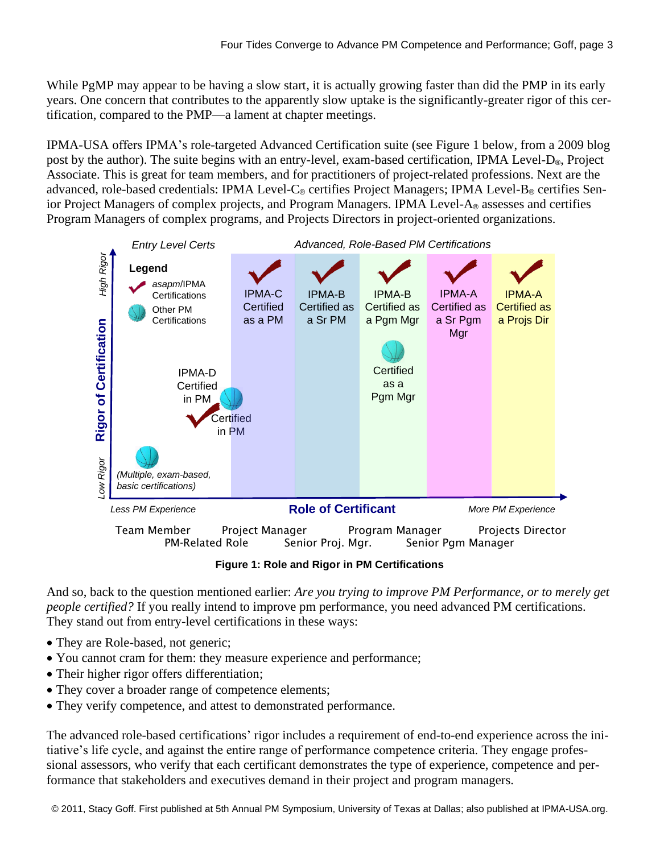While PgMP may appear to be having a slow start, it is actually growing faster than did the PMP in its early years. One concern that contributes to the apparently slow uptake is the significantly-greater rigor of this certification, compared to the PMP—a lament at chapter meetings.

IPMA-USA offers IPMA's role-targeted Advanced Certification suite (see Figure 1 below, from a 2009 blog post by the author). The suite begins with an entry-level, exam-based certification, IPMA Level-D®, Project Associate. This is great for team members, and for practitioners of project-related professions. Next are the advanced, role-based credentials: IPMA Level-C® certifies Project Managers; IPMA Level-B® certifies Senior Project Managers of complex projects, and Program Managers. IPMA Level-A® assesses and certifies Program Managers of complex programs, and Projects Directors in project-oriented organizations.



**Figure 1: Role and Rigor in PM Certifications**

And so, back to the question mentioned earlier: *Are you trying to improve PM Performance, or to merely get people certified?* If you really intend to improve pm performance, you need advanced PM certifications. They stand out from entry-level certifications in these ways:

- They are Role-based, not generic;
- You cannot cram for them: they measure experience and performance;
- Their higher rigor offers differentiation;
- They cover a broader range of competence elements;
- They verify competence, and attest to demonstrated performance.

The advanced role-based certifications' rigor includes a requirement of end-to-end experience across the initiative's life cycle, and against the entire range of performance competence criteria. They engage professional assessors, who verify that each certificant demonstrates the type of experience, competence and performance that stakeholders and executives demand in their project and program managers.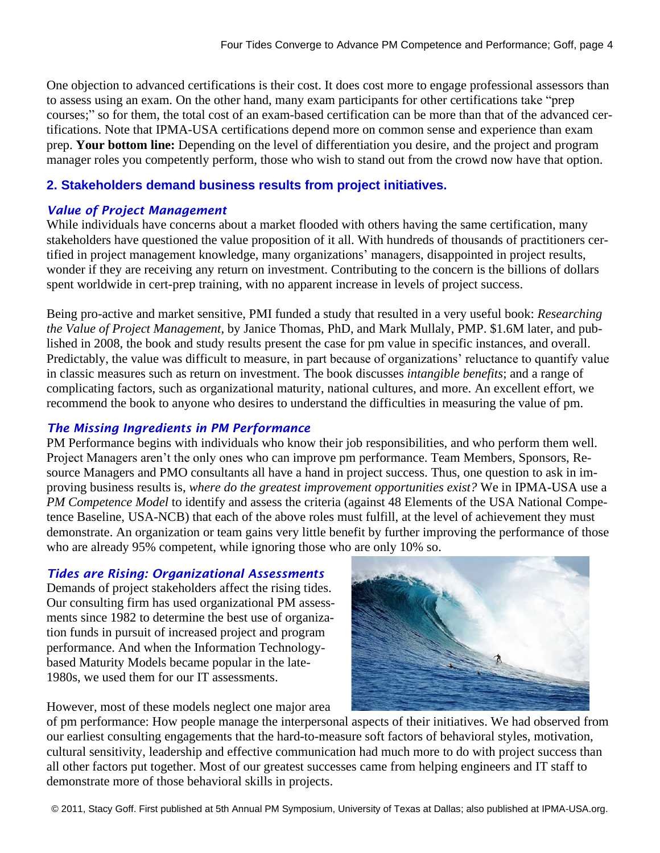One objection to advanced certifications is their cost. It does cost more to engage professional assessors than to assess using an exam. On the other hand, many exam participants for other certifications take "prep courses;" so for them, the total cost of an exam-based certification can be more than that of the advanced certifications. Note that IPMA-USA certifications depend more on common sense and experience than exam prep. **Your bottom line:** Depending on the level of differentiation you desire, and the project and program manager roles you competently perform, those who wish to stand out from the crowd now have that option.

# **2. Stakeholders demand business results from project initiatives.**

#### *Value of Project Management*

While individuals have concerns about a market flooded with others having the same certification, many stakeholders have questioned the value proposition of it all. With hundreds of thousands of practitioners certified in project management knowledge, many organizations' managers, disappointed in project results, wonder if they are receiving any return on investment. Contributing to the concern is the billions of dollars spent worldwide in cert-prep training, with no apparent increase in levels of project success.

Being pro-active and market sensitive, PMI funded a study that resulted in a very useful book: *Researching the Value of Project Management*, by Janice Thomas, PhD, and Mark Mullaly, PMP. \$1.6M later, and published in 2008, the book and study results present the case for pm value in specific instances, and overall. Predictably, the value was difficult to measure, in part because of organizations' reluctance to quantify value in classic measures such as return on investment. The book discusses *intangible benefits*; and a range of complicating factors, such as organizational maturity, national cultures, and more. An excellent effort, we recommend the book to anyone who desires to understand the difficulties in measuring the value of pm.

#### *The Missing Ingredients in PM Performance*

PM Performance begins with individuals who know their job responsibilities, and who perform them well. Project Managers aren't the only ones who can improve pm performance. Team Members, Sponsors, Resource Managers and PMO consultants all have a hand in project success. Thus, one question to ask in improving business results is, *where do the greatest improvement opportunities exist?* We in IPMA-USA use a *PM Competence Model* to identify and assess the criteria (against 48 Elements of the USA National Competence Baseline, USA-NCB) that each of the above roles must fulfill, at the level of achievement they must demonstrate. An organization or team gains very little benefit by further improving the performance of those who are already 95% competent, while ignoring those who are only 10% so.

#### *Tides are Rising: Organizational Assessments*

Demands of project stakeholders affect the rising tides. Our consulting firm has used organizational PM assessments since 1982 to determine the best use of organization funds in pursuit of increased project and program performance. And when the Information Technologybased Maturity Models became popular in the late-1980s, we used them for our IT assessments.



However, most of these models neglect one major area

of pm performance: How people manage the interpersonal aspects of their initiatives. We had observed from our earliest consulting engagements that the hard-to-measure soft factors of behavioral styles, motivation, cultural sensitivity, leadership and effective communication had much more to do with project success than all other factors put together. Most of our greatest successes came from helping engineers and IT staff to demonstrate more of those behavioral skills in projects.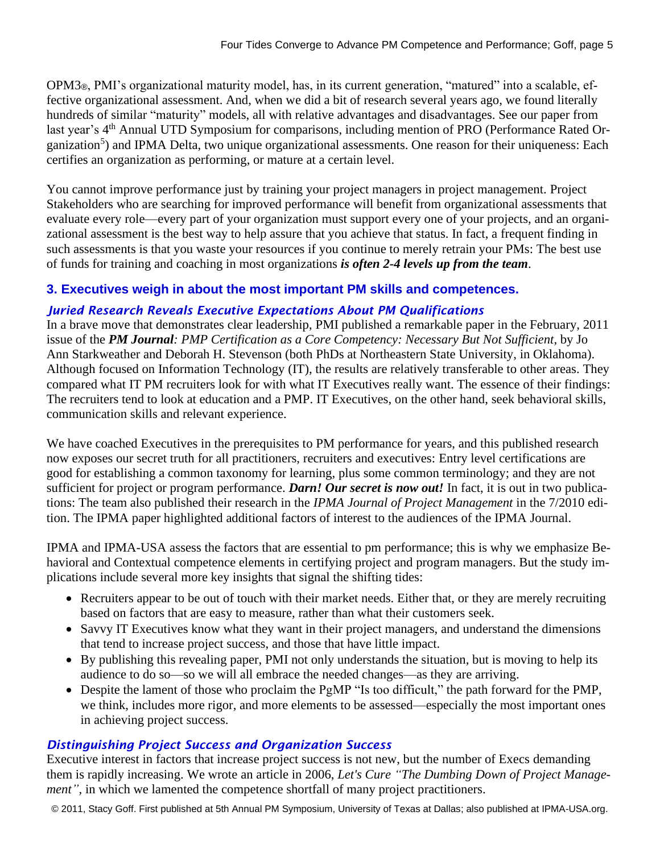OPM3®, PMI's organizational maturity model, has, in its current generation, "matured" into a scalable, effective organizational assessment. And, when we did a bit of research several years ago, we found literally hundreds of similar "maturity" models, all with relative advantages and disadvantages. See our paper from last year's 4<sup>th</sup> Annual UTD Symposium for comparisons, including mention of PRO (Performance Rated Organization<sup>5</sup>) and IPMA Delta, two unique organizational assessments. One reason for their uniqueness: Each certifies an organization as performing, or mature at a certain level.

You cannot improve performance just by training your project managers in project management. Project Stakeholders who are searching for improved performance will benefit from organizational assessments that evaluate every role—every part of your organization must support every one of your projects, and an organizational assessment is the best way to help assure that you achieve that status. In fact, a frequent finding in such assessments is that you waste your resources if you continue to merely retrain your PMs: The best use of funds for training and coaching in most organizations *is often 2-4 levels up from the team*.

# **3. Executives weigh in about the most important PM skills and competences.**

# *Juried Research Reveals Executive Expectations About PM Qualifications*

In a brave move that demonstrates clear leadership, PMI published a remarkable paper in the February, 2011 issue of the *PM Journal: PMP Certification as a Core Competency: Necessary But Not Sufficient*, by Jo Ann Starkweather and Deborah H. Stevenson (both PhDs at Northeastern State University, in Oklahoma). Although focused on Information Technology (IT), the results are relatively transferable to other areas. They compared what IT PM recruiters look for with what IT Executives really want. The essence of their findings: The recruiters tend to look at education and a PMP. IT Executives, on the other hand, seek behavioral skills, communication skills and relevant experience.

We have coached Executives in the prerequisites to PM performance for years, and this published research now exposes our secret truth for all practitioners, recruiters and executives: Entry level certifications are good for establishing a common taxonomy for learning, plus some common terminology; and they are not sufficient for project or program performance. *Darn! Our secret is now out!* In fact, it is out in two publications: The team also published their research in the *IPMA Journal of Project Management* in the 7/2010 edition. The IPMA paper highlighted additional factors of interest to the audiences of the IPMA Journal.

IPMA and IPMA-USA assess the factors that are essential to pm performance; this is why we emphasize Behavioral and Contextual competence elements in certifying project and program managers. But the study implications include several more key insights that signal the shifting tides:

- Recruiters appear to be out of touch with their market needs. Either that, or they are merely recruiting based on factors that are easy to measure, rather than what their customers seek.
- Savvy IT Executives know what they want in their project managers, and understand the dimensions that tend to increase project success, and those that have little impact.
- By publishing this revealing paper, PMI not only understands the situation, but is moving to help its audience to do so—so we will all embrace the needed changes—as they are arriving.
- Despite the lament of those who proclaim the PgMP "Is too difficult," the path forward for the PMP, we think, includes more rigor, and more elements to be assessed—especially the most important ones in achieving project success.

#### *Distinguishing Project Success and Organization Success*

Executive interest in factors that increase project success is not new, but the number of Execs demanding them is rapidly increasing. We wrote an article in 2006, *Let's Cure "The Dumbing Down of Project Management*", in which we lamented the competence shortfall of many project practitioners.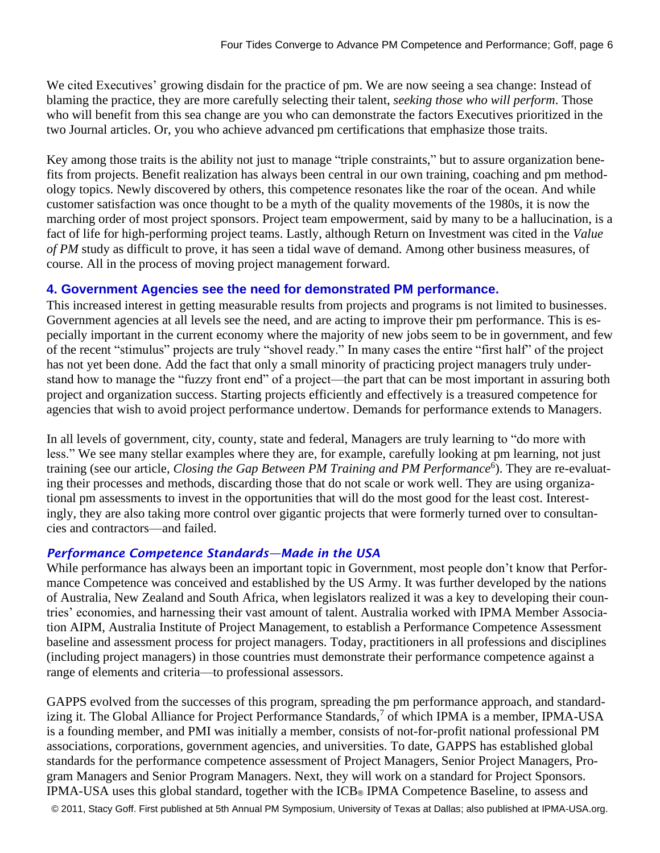We cited Executives' growing disdain for the practice of pm. We are now seeing a sea change: Instead of blaming the practice, they are more carefully selecting their talent, *seeking those who will perform*. Those who will benefit from this sea change are you who can demonstrate the factors Executives prioritized in the two Journal articles. Or, you who achieve advanced pm certifications that emphasize those traits.

Key among those traits is the ability not just to manage "triple constraints," but to assure organization benefits from projects. Benefit realization has always been central in our own training, coaching and pm methodology topics. Newly discovered by others, this competence resonates like the roar of the ocean. And while customer satisfaction was once thought to be a myth of the quality movements of the 1980s, it is now the marching order of most project sponsors. Project team empowerment, said by many to be a hallucination, is a fact of life for high-performing project teams. Lastly, although Return on Investment was cited in the *Value of PM* study as difficult to prove, it has seen a tidal wave of demand. Among other business measures, of course. All in the process of moving project management forward.

#### **4. Government Agencies see the need for demonstrated PM performance.**

This increased interest in getting measurable results from projects and programs is not limited to businesses. Government agencies at all levels see the need, and are acting to improve their pm performance. This is especially important in the current economy where the majority of new jobs seem to be in government, and few of the recent "stimulus" projects are truly "shovel ready." In many cases the entire "first half" of the project has not yet been done. Add the fact that only a small minority of practicing project managers truly understand how to manage the "fuzzy front end" of a project—the part that can be most important in assuring both project and organization success. Starting projects efficiently and effectively is a treasured competence for agencies that wish to avoid project performance undertow. Demands for performance extends to Managers.

In all levels of government, city, county, state and federal, Managers are truly learning to "do more with less." We see many stellar examples where they are, for example, carefully looking at pm learning, not just training (see our article, *Closing the Gap Between PM Training and PM Performance*<sup>6</sup>). They are re-evaluating their processes and methods, discarding those that do not scale or work well. They are using organizational pm assessments to invest in the opportunities that will do the most good for the least cost. Interestingly, they are also taking more control over gigantic projects that were formerly turned over to consultancies and contractors—and failed.

#### *Performance Competence Standards—Made in the USA*

While performance has always been an important topic in Government, most people don't know that Performance Competence was conceived and established by the US Army. It was further developed by the nations of Australia, New Zealand and South Africa, when legislators realized it was a key to developing their countries' economies, and harnessing their vast amount of talent. Australia worked with IPMA Member Association AIPM, Australia Institute of Project Management, to establish a Performance Competence Assessment baseline and assessment process for project managers. Today, practitioners in all professions and disciplines (including project managers) in those countries must demonstrate their performance competence against a range of elements and criteria—to professional assessors.

GAPPS evolved from the successes of this program, spreading the pm performance approach, and standardizing it. The Global Alliance for Project Performance Standards,<sup>7</sup> of which IPMA is a member, IPMA-USA is a founding member, and PMI was initially a member, consists of not-for-profit national professional PM associations, corporations, government agencies, and universities. To date, GAPPS has established global standards for the performance competence assessment of Project Managers, Senior Project Managers, Program Managers and Senior Program Managers. Next, they will work on a standard for Project Sponsors. IPMA-USA uses this global standard, together with the ICB® IPMA Competence Baseline, to assess and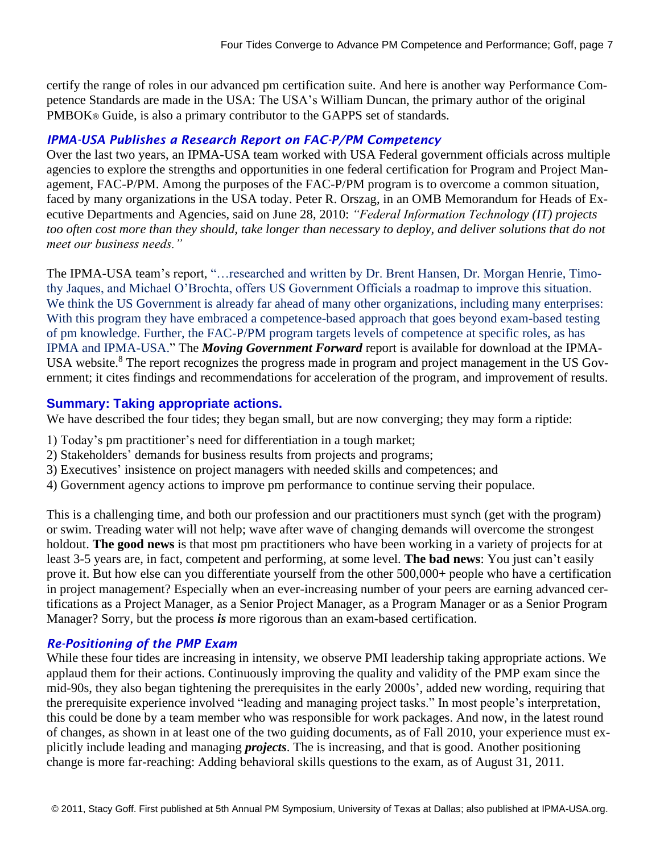certify the range of roles in our advanced pm certification suite. And here is another way Performance Competence Standards are made in the USA: The USA's William Duncan, the primary author of the original PMBOK® Guide, is also a primary contributor to the GAPPS set of standards.

#### *IPMA-USA Publishes a Research Report on FAC-P/PM Competency*

Over the last two years, an IPMA-USA team worked with USA Federal government officials across multiple agencies to explore the strengths and opportunities in one federal certification for Program and Project Management, FAC-P/PM. Among the purposes of the FAC-P/PM program is to overcome a common situation, faced by many organizations in the USA today. Peter R. Orszag, in an OMB Memorandum for Heads of Executive Departments and Agencies, said on June 28, 2010: *"Federal Information Technology (IT) projects*  too often cost more than they should, take longer than necessary to deploy, and deliver solutions that do not *meet our business needs."*

The IPMA-USA team's report, "…researched and written by Dr. Brent Hansen, Dr. Morgan Henrie, Timothy Jaques, and Michael O'Brochta, offers US Government Officials a roadmap to improve this situation. We think the US Government is already far ahead of many other organizations, including many enterprises: With this program they have embraced a competence-based approach that goes beyond exam-based testing of pm knowledge. Further, the FAC-P/PM program targets levels of competence at specific roles, as has IPMA and IPMA-USA." The *Moving Government Forward* report is available for download at the IPMA-USA website.<sup>8</sup> The report recognizes the progress made in program and project management in the US Government; it cites findings and recommendations for acceleration of the program, and improvement of results.

#### **Summary: Taking appropriate actions.**

We have described the four tides; they began small, but are now converging; they may form a riptide:

- 1) Today's pm practitioner's need for differentiation in a tough market;
- 2) Stakeholders' demands for business results from projects and programs;
- 3) Executives' insistence on project managers with needed skills and competences; and
- 4) Government agency actions to improve pm performance to continue serving their populace.

This is a challenging time, and both our profession and our practitioners must synch (get with the program) or swim. Treading water will not help; wave after wave of changing demands will overcome the strongest holdout. **The good news** is that most pm practitioners who have been working in a variety of projects for at least 3-5 years are, in fact, competent and performing, at some level. **The bad news**: You just can't easily prove it. But how else can you differentiate yourself from the other 500,000+ people who have a certification in project management? Especially when an ever-increasing number of your peers are earning advanced certifications as a Project Manager, as a Senior Project Manager, as a Program Manager or as a Senior Program Manager? Sorry, but the process *is* more rigorous than an exam-based certification.

#### *Re-Positioning of the PMP Exam*

While these four tides are increasing in intensity, we observe PMI leadership taking appropriate actions. We applaud them for their actions. Continuously improving the quality and validity of the PMP exam since the mid-90s, they also began tightening the prerequisites in the early 2000s', added new wording, requiring that the prerequisite experience involved "leading and managing project tasks." In most people's interpretation, this could be done by a team member who was responsible for work packages. And now, in the latest round of changes, as shown in at least one of the two guiding documents, as of Fall 2010, your experience must explicitly include leading and managing *projects*. The is increasing, and that is good. Another positioning change is more far-reaching: Adding behavioral skills questions to the exam, as of August 31, 2011.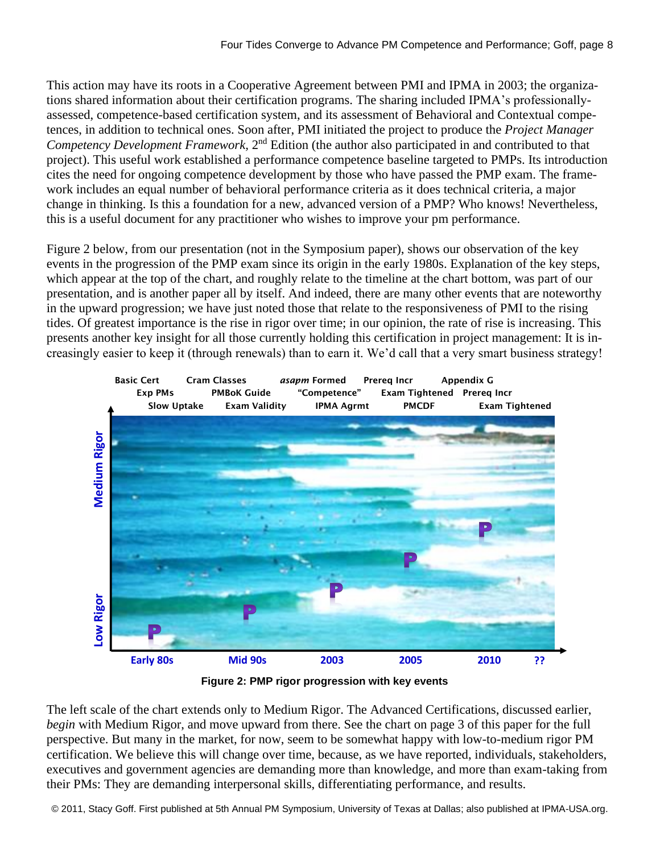This action may have its roots in a Cooperative Agreement between PMI and IPMA in 2003; the organizations shared information about their certification programs. The sharing included IPMA's professionallyassessed, competence-based certification system, and its assessment of Behavioral and Contextual competences, in addition to technical ones. Soon after, PMI initiated the project to produce the *Project Manager*  Competency Development Framework, 2<sup>nd</sup> Edition (the author also participated in and contributed to that project). This useful work established a performance competence baseline targeted to PMPs. Its introduction cites the need for ongoing competence development by those who have passed the PMP exam. The framework includes an equal number of behavioral performance criteria as it does technical criteria, a major change in thinking. Is this a foundation for a new, advanced version of a PMP? Who knows! Nevertheless, this is a useful document for any practitioner who wishes to improve your pm performance.

Figure 2 below, from our presentation (not in the Symposium paper), shows our observation of the key events in the progression of the PMP exam since its origin in the early 1980s. Explanation of the key steps, which appear at the top of the chart, and roughly relate to the timeline at the chart bottom, was part of our presentation, and is another paper all by itself. And indeed, there are many other events that are noteworthy in the upward progression; we have just noted those that relate to the responsiveness of PMI to the rising tides. Of greatest importance is the rise in rigor over time; in our opinion, the rate of rise is increasing. This presents another key insight for all those currently holding this certification in project management: It is increasingly easier to keep it (through renewals) than to earn it. We'd call that a very smart business strategy!



**Figure 2: PMP rigor progression with key events**

The left scale of the chart extends only to Medium Rigor. The Advanced Certifications, discussed earlier, *begin* with Medium Rigor, and move upward from there. See the chart on page 3 of this paper for the full perspective. But many in the market, for now, seem to be somewhat happy with low-to-medium rigor PM certification. We believe this will change over time, because, as we have reported, individuals, stakeholders, executives and government agencies are demanding more than knowledge, and more than exam-taking from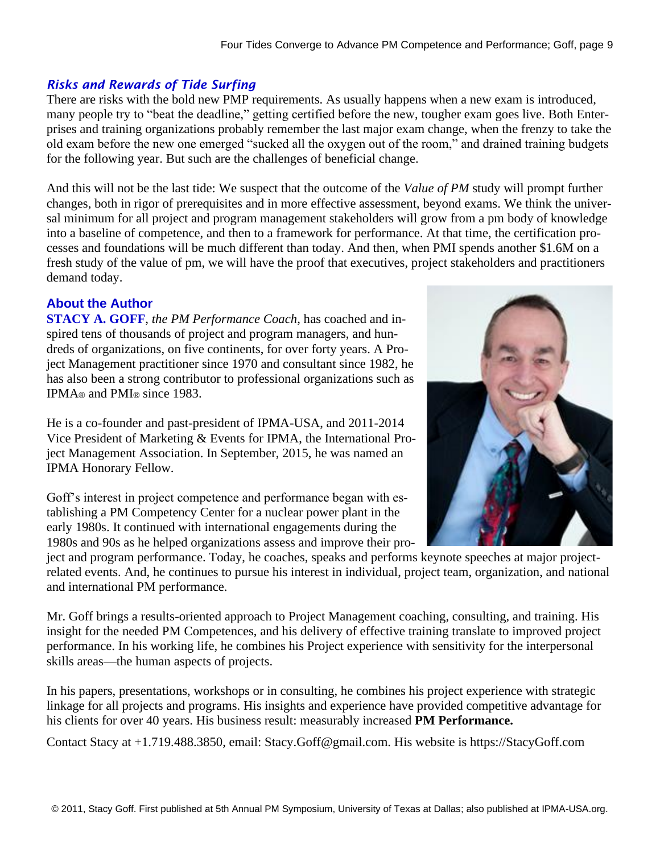# *Risks and Rewards of Tide Surfing*

There are risks with the bold new PMP requirements. As usually happens when a new exam is introduced, many people try to "beat the deadline," getting certified before the new, tougher exam goes live. Both Enterprises and training organizations probably remember the last major exam change, when the frenzy to take the old exam before the new one emerged "sucked all the oxygen out of the room," and drained training budgets for the following year. But such are the challenges of beneficial change.

And this will not be the last tide: We suspect that the outcome of the *Value of PM* study will prompt further changes, both in rigor of prerequisites and in more effective assessment, beyond exams. We think the universal minimum for all project and program management stakeholders will grow from a pm body of knowledge into a baseline of competence, and then to a framework for performance. At that time, the certification processes and foundations will be much different than today. And then, when PMI spends another \$1.6M on a fresh study of the value of pm, we will have the proof that executives, project stakeholders and practitioners demand today.

# **About the Author**

**STACY A. GOFF**, *the PM Performance Coach*, has coached and inspired tens of thousands of project and program managers, and hundreds of organizations, on five continents, for over forty years. A Project Management practitioner since 1970 and consultant since 1982, he has also been a strong contributor to professional organizations such as IPMA® and PMI® since 1983.

He is a co-founder and past-president of IPMA-USA, and 2011-2014 Vice President of Marketing & Events for IPMA, the International Project Management Association. In September, 2015, he was named an IPMA Honorary Fellow.

Goff's interest in project competence and performance began with establishing a PM Competency Center for a nuclear power plant in the early 1980s. It continued with international engagements during the 1980s and 90s as he helped organizations assess and improve their pro-

ject and program performance. Today, he coaches, speaks and performs keynote speeches at major projectrelated events. And, he continues to pursue his interest in individual, project team, organization, and national and international PM performance.

Mr. Goff brings a results-oriented approach to Project Management coaching, consulting, and training. His insight for the needed PM Competences, and his delivery of effective training translate to improved project performance. In his working life, he combines his Project experience with sensitivity for the interpersonal skills areas—the human aspects of projects.

In his papers, presentations, workshops or in consulting, he combines his project experience with strategic linkage for all projects and programs. His insights and experience have provided competitive advantage for his clients for over 40 years. His business result: measurably increased **PM Performance.** 

Contact Stacy at +1.719.488.3850, email: Stacy.Goff@gmail.com. His website is https://StacyGoff.com